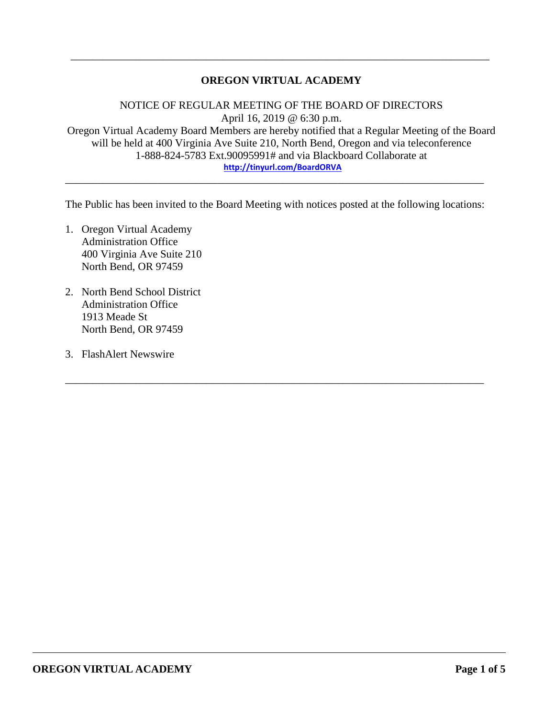# **OREGON VIRTUAL ACADEMY**

\_\_\_\_\_\_\_\_\_\_\_\_\_\_\_\_\_\_\_\_\_\_\_\_\_\_\_\_\_\_\_\_\_\_\_\_\_\_\_\_\_\_\_\_\_\_\_\_\_\_\_\_\_\_\_\_\_\_\_\_\_\_\_\_\_\_\_\_\_\_\_\_\_\_\_\_\_

NOTICE OF REGULAR MEETING OF THE BOARD OF DIRECTORS April 16, 2019 @ 6:30 p.m. Oregon Virtual Academy Board Members are hereby notified that a Regular Meeting of the Board will be held at 400 Virginia Ave Suite 210, North Bend, Oregon and via teleconference 1-888-824-5783 Ext.90095991# and via Blackboard Collaborate at **<http://tinyurl.com/BoardORVA>**

The Public has been invited to the Board Meeting with notices posted at the following locations:

\_\_\_\_\_\_\_\_\_\_\_\_\_\_\_\_\_\_\_\_\_\_\_\_\_\_\_\_\_\_\_\_\_\_\_\_\_\_\_\_\_\_\_\_\_\_\_\_\_\_\_\_\_\_\_\_\_\_\_\_\_\_\_\_\_\_\_\_\_\_\_\_\_\_\_\_\_

\_\_\_\_\_\_\_\_\_\_\_\_\_\_\_\_\_\_\_\_\_\_\_\_\_\_\_\_\_\_\_\_\_\_\_\_\_\_\_\_\_\_\_\_\_\_\_\_\_\_\_\_\_\_\_\_\_\_\_\_\_\_\_\_\_\_\_\_\_\_\_\_\_\_\_\_\_

- 1. Oregon Virtual Academy Administration Office 400 Virginia Ave Suite 210 North Bend, OR 97459
- 2. North Bend School District Administration Office 1913 Meade St North Bend, OR 97459
- 3. FlashAlert Newswire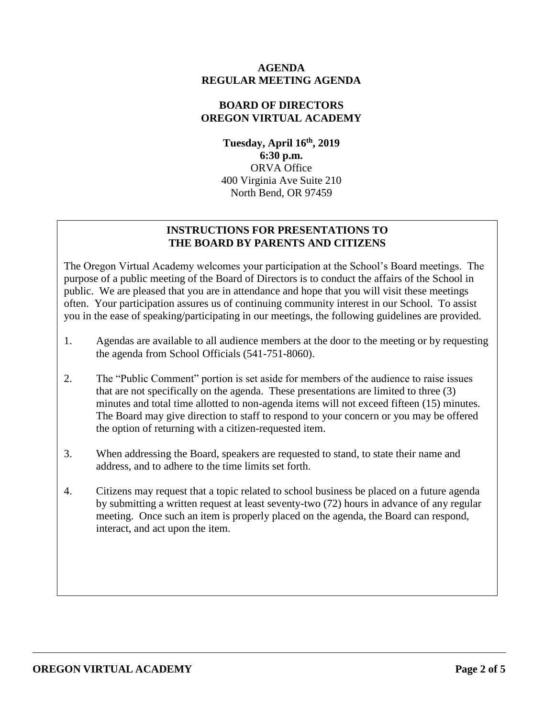### **AGENDA REGULAR MEETING AGENDA**

### **BOARD OF DIRECTORS OREGON VIRTUAL ACADEMY**

**Tuesday, April 16 th , 2019 6:30 p.m.** ORVA Office 400 Virginia Ave Suite 210 North Bend, OR 97459

# **INSTRUCTIONS FOR PRESENTATIONS TO THE BOARD BY PARENTS AND CITIZENS**

The Oregon Virtual Academy welcomes your participation at the School's Board meetings. The purpose of a public meeting of the Board of Directors is to conduct the affairs of the School in public. We are pleased that you are in attendance and hope that you will visit these meetings often. Your participation assures us of continuing community interest in our School. To assist you in the ease of speaking/participating in our meetings, the following guidelines are provided.

- 1. Agendas are available to all audience members at the door to the meeting or by requesting the agenda from School Officials (541-751-8060).
- 2. The "Public Comment" portion is set aside for members of the audience to raise issues that are not specifically on the agenda. These presentations are limited to three (3) minutes and total time allotted to non-agenda items will not exceed fifteen (15) minutes. The Board may give direction to staff to respond to your concern or you may be offered the option of returning with a citizen-requested item.
- 3. When addressing the Board, speakers are requested to stand, to state their name and address, and to adhere to the time limits set forth.
- 4. Citizens may request that a topic related to school business be placed on a future agenda by submitting a written request at least seventy-two (72) hours in advance of any regular meeting. Once such an item is properly placed on the agenda, the Board can respond, interact, and act upon the item.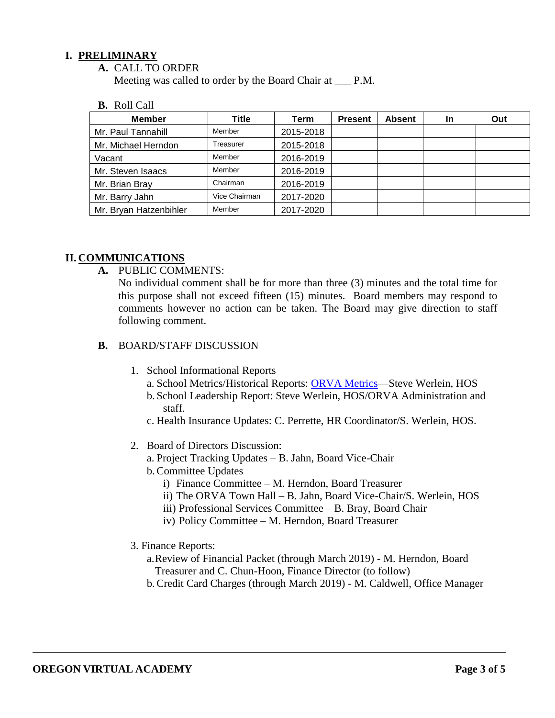### **I. PRELIMINARY**

**A.** CALL TO ORDER

Meeting was called to order by the Board Chair at \_\_\_ P.M.

**B.** Roll Call

| <b>Member</b>          | Title         | Term      | <b>Present</b> | <b>Absent</b> | <b>In</b> | Out |
|------------------------|---------------|-----------|----------------|---------------|-----------|-----|
| Mr. Paul Tannahill     | Member        | 2015-2018 |                |               |           |     |
| Mr. Michael Herndon    | Treasurer     | 2015-2018 |                |               |           |     |
| Vacant                 | Member        | 2016-2019 |                |               |           |     |
| Mr. Steven Isaacs      | Member        | 2016-2019 |                |               |           |     |
| Mr. Brian Bray         | Chairman      | 2016-2019 |                |               |           |     |
| Mr. Barry Jahn         | Vice Chairman | 2017-2020 |                |               |           |     |
| Mr. Bryan Hatzenbihler | Member        | 2017-2020 |                |               |           |     |

### **II. COMMUNICATIONS**

**A.** PUBLIC COMMENTS:

No individual comment shall be for more than three (3) minutes and the total time for this purpose shall not exceed fifteen (15) minutes. Board members may respond to comments however no action can be taken. The Board may give direction to staff following comment.

- **B.** BOARD/STAFF DISCUSSION
	- 1. School Informational Reports
		- a. School Metrics/Historical Reports: ORVA Metrics-Steve Werlein, HOS
		- b. School Leadership Report: Steve Werlein, HOS/ORVA Administration and staff.
		- c. Health Insurance Updates: C. Perrette, HR Coordinator/S. Werlein, HOS.
	- 2. Board of Directors Discussion:
		- a. Project Tracking Updates B. Jahn, Board Vice-Chair
		- b.Committee Updates
			- i) Finance Committee M. Herndon, Board Treasurer
			- ii) The ORVA Town Hall B. Jahn, Board Vice-Chair/S. Werlein, HOS
			- iii) Professional Services Committee B. Bray, Board Chair
			- iv) Policy Committee M. Herndon, Board Treasurer
	- 3. Finance Reports:
		- a.Review of Financial Packet (through March 2019) M. Herndon, Board Treasurer and C. Chun-Hoon, Finance Director (to follow)
		- b.Credit Card Charges (through March 2019) M. Caldwell, Office Manager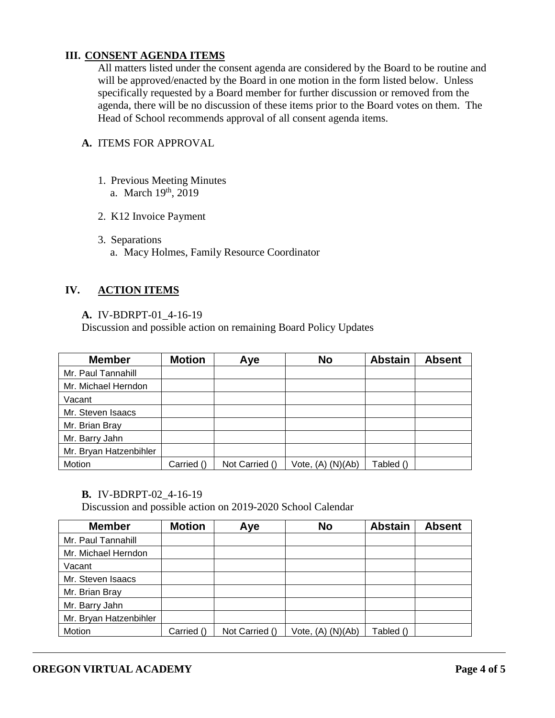# **III. CONSENT AGENDA ITEMS**

All matters listed under the consent agenda are considered by the Board to be routine and will be approved/enacted by the Board in one motion in the form listed below. Unless specifically requested by a Board member for further discussion or removed from the agenda, there will be no discussion of these items prior to the Board votes on them. The Head of School recommends approval of all consent agenda items.

# **A.** ITEMS FOR APPROVAL

- 1. Previous Meeting Minutes a. March 19<sup>th</sup>, 2019
- 2. K12 Invoice Payment
- 3. Separations
	- a. Macy Holmes, Family Resource Coordinator

# **IV. ACTION ITEMS**

#### **A.** IV-BDRPT-01\_4-16-19

Discussion and possible action on remaining Board Policy Updates

| <b>Member</b>          | <b>Motion</b> | Aye            | <b>No</b>             | <b>Abstain</b> | <b>Absent</b> |
|------------------------|---------------|----------------|-----------------------|----------------|---------------|
| Mr. Paul Tannahill     |               |                |                       |                |               |
| Mr. Michael Herndon    |               |                |                       |                |               |
| Vacant                 |               |                |                       |                |               |
| Mr. Steven Isaacs      |               |                |                       |                |               |
| Mr. Brian Bray         |               |                |                       |                |               |
| Mr. Barry Jahn         |               |                |                       |                |               |
| Mr. Bryan Hatzenbihler |               |                |                       |                |               |
| Motion                 | Carried ()    | Not Carried () | Vote, $(A)$ $(N)(Ab)$ | Tabled ()      |               |

#### **B.** IV-BDRPT-02\_4-16-19

Discussion and possible action on 2019-2020 School Calendar

| <b>Member</b>          | <b>Motion</b> | Aye            | <b>No</b>         | <b>Abstain</b> | <b>Absent</b> |
|------------------------|---------------|----------------|-------------------|----------------|---------------|
| Mr. Paul Tannahill     |               |                |                   |                |               |
| Mr. Michael Herndon    |               |                |                   |                |               |
| Vacant                 |               |                |                   |                |               |
| Mr. Steven Isaacs      |               |                |                   |                |               |
| Mr. Brian Bray         |               |                |                   |                |               |
| Mr. Barry Jahn         |               |                |                   |                |               |
| Mr. Bryan Hatzenbihler |               |                |                   |                |               |
| Motion                 | Carried ()    | Not Carried () | Vote, (A) (N)(Ab) | Tabled ()      |               |